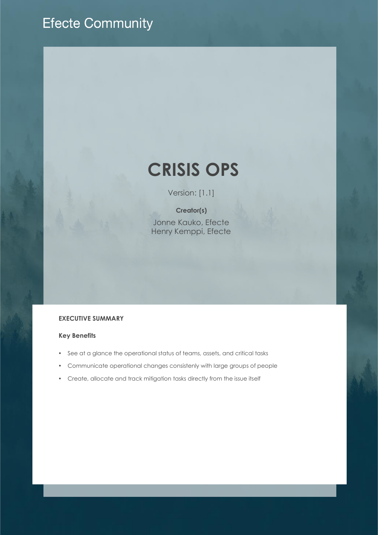# **Efecte Community**

# **CRISIS OPS**

Version: [1.1]

## **Creator(s)**

Jonne Kauko, Efecte Henry Kemppi, Efecte

### **EXECUTIVE SUMMARY**

#### **Key Benefits**

- See at a glance the operational status of teams, assets, and critical tasks
- Communicate operational changes consistenly with large groups of people
- Create, allocate and track mitigation tasks directly from the issue itself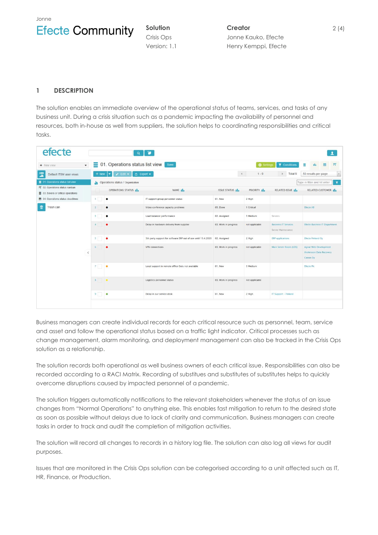Jonne



**Solution** Crisis Ops Version: 1.1 **Creator** Jonne Kauko, Efecte Henry Kemppi, Efecte

#### **1 DESCRIPTION**

The solution enables an immediate overview of the operational status of teams, services, and tasks of any business unit. During a crisis situation such as a pandemic impacting the availability of personnel and resources, both in-house as well from suppliers, the solution helps to coordinating responsibilities and critical tasks.

| efecte                                                                                                     |                      |                                                                                  | $\alpha$                                                      |                                                               |                                     |                |                                                   |                                                              |  |  |  |  |
|------------------------------------------------------------------------------------------------------------|----------------------|----------------------------------------------------------------------------------|---------------------------------------------------------------|---------------------------------------------------------------|-------------------------------------|----------------|---------------------------------------------------|--------------------------------------------------------------|--|--|--|--|
| + New view                                                                                                 | $\blacktriangledown$ | 01. Operations status list view save                                             | Ξ<br>苗<br>理<br>di.                                            |                                                               |                                     |                |                                                   |                                                              |  |  |  |  |
| 5<br>Default ITSM user views                                                                               |                      | $+$ New                                                                          | $\triangle$ Export $\blacktriangleright$<br>$\ge$ Edit $\sim$ | Total 9<br>k.                                                 | 50 results per page<br>$\mathbf{v}$ |                |                                                   |                                                              |  |  |  |  |
| ■ 01. Operations status list view<br>門 02. Operations status kanban<br>■ 03. Severe or critical operations |                      | $\mathbf{v}$<br>Type in filter and hit enter<br>Operations status / Organization |                                                               |                                                               |                                     |                |                                                   |                                                              |  |  |  |  |
|                                                                                                            |                      |                                                                                  | OPERATIONS STATUS III                                         | NAME III                                                      | <b>ISSUE STATUS III</b>             | PRIORITY III   | RELATED ISSUE III                                 | <b>RELATED CUSTOMER 11.</b>                                  |  |  |  |  |
| <b>前</b> 04. Operations status deadlines                                                                   |                      | 1                                                                                | $\bullet$                                                     | IT support group personnel status                             | 01. New                             | 2 High         |                                                   |                                                              |  |  |  |  |
| 茴<br>Trash can                                                                                             |                      | $\overline{2}$                                                                   | $\bullet$                                                     | Video conference capacity problems                            | 05. Done                            | 1 Critical     |                                                   | <b>Efecte AB</b>                                             |  |  |  |  |
|                                                                                                            |                      | $\mathbf{3}$                                                                     | $\bullet$                                                     | Load balancer performance                                     | 02. Assigned                        | 3 Medium       | Servers                                           |                                                              |  |  |  |  |
|                                                                                                            |                      | $4 -$                                                                            | ٠                                                             | Delay in hardware delivery from supplier                      | 03. Work in progress                | not applicable | <b>Business IT Services</b><br>Server Maintenance | <b>Efecte Business IT Department</b>                         |  |  |  |  |
|                                                                                                            |                      | 5                                                                                | ٠                                                             | 3th party support for software ERP out of use until 13.4.2020 | 02. Assigned                        | 2 High         | <b>ERP</b> applications                           | <b>Efecte Finland Oy</b>                                     |  |  |  |  |
|                                                                                                            | $\langle$            | 6                                                                                | ٠                                                             | VPN connections                                               | 03. Work in progress                | not applicable | Main Server Room (UDS)                            | Agnar Web Development<br>Andersson Data Recovery<br>Canon Oy |  |  |  |  |
|                                                                                                            |                      | 7                                                                                |                                                               | Local support in remote office Oulu not available             | 01. New                             | 3 Medium       |                                                   | <b>Efecte Pic</b>                                            |  |  |  |  |
|                                                                                                            |                      | $8$ $\bullet$                                                                    |                                                               | Logistics personnel status                                    | 03. Work in progress                | not applicable |                                                   |                                                              |  |  |  |  |
|                                                                                                            |                      | 9                                                                                | $\bullet$                                                     | Delay in our service desk                                     | 01. New                             | 2 High         | IT Support - Finland                              |                                                              |  |  |  |  |
|                                                                                                            |                      |                                                                                  |                                                               |                                                               |                                     |                |                                                   |                                                              |  |  |  |  |

Business managers can create individual records for each critical resource such as personnel, team, service and asset and follow the operational status based on a traffic light indicator. Critical processes such as change management, alarm monitoring, and deployment management can also be tracked in the Crisis Ops solution as a relationship.

The solution records both operational as well business owners of each critical issue. Responsibilities can also be recorded according to a RACI Matrix. Recording of substitues and substitutes of substitutes helps to quickly overcome disruptions caused by impacted personnel of a pandemic.

The solution triggers automatically notifications to the relevant stakeholders whenever the status of an issue changes from "Normal Operations" to anything else. This enables fast mitigation to return to the desired state as soon as possible without delays due to lack of clarity and communication. Business managers can create tasks in order to track and audit the completion of mitigation activities.

The solution will record all changes to records in a history log file. The solution can also log all views for audit purposes.

Issues that are monitored in the Crisis Ops solution can be categorised according to a unit affected such as IT, HR, Finance, or Production.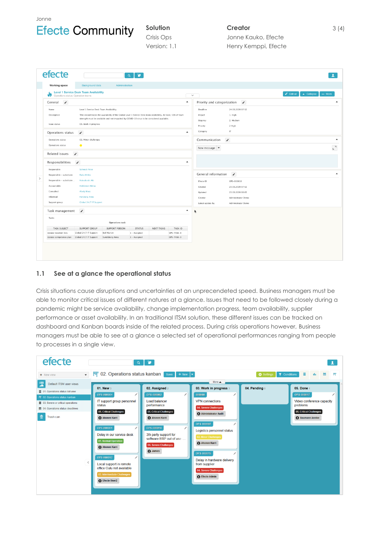



**Solution** Crisis Ops Version: 1.1

# **Creator**

Jonne Kauko, Efecte Henry Kemppi, Efecte

|                                                                                                                                                                                                                                                                                                                       | <b>Level 1 Service Desk Team Availability</b> | <b>Background data</b> |               |            |                                           |                                                    |                    |                                                                |
|-----------------------------------------------------------------------------------------------------------------------------------------------------------------------------------------------------------------------------------------------------------------------------------------------------------------------|-----------------------------------------------|------------------------|---------------|------------|-------------------------------------------|----------------------------------------------------|--------------------|----------------------------------------------------------------|
| ω<br>Operations status: Operation teams                                                                                                                                                                                                                                                                               |                                               |                        |               |            |                                           | $\checkmark$                                       |                    | $\blacktriangleright$ Edit all<br>$\triangle$ Collapse<br>More |
| v<br>General                                                                                                                                                                                                                                                                                                          |                                               |                        |               |            | $\blacktriangle$                          | Priority and categorization $\rightarrow$          |                    |                                                                |
| Level 1 Service Desk Team Availability<br>Name<br>This record traces the availability of the Global Level 1 Service Desk team availability. At least, 50% of team<br>Description<br>strength must be available and not impacted by COVID-19 virus to be considered available.<br>Issue status<br>03. Work in progress |                                               |                        |               |            | Deadline<br>Impact<br>Urgency<br>Priority | 24.03.2020 07:52<br>1. High<br>2. Medium<br>2 High |                    |                                                                |
| $\blacktriangle$<br>$\mathcal{E}$<br>Operations status                                                                                                                                                                                                                                                                |                                               |                        |               |            |                                           | Category                                           | $\Gamma\Gamma$     |                                                                |
| 02. Minor challenges<br>Operations status<br>Operations status<br>$\bullet$                                                                                                                                                                                                                                           |                                               |                        |               |            |                                           | Communication                                      | $\mathcal{L}$      |                                                                |
|                                                                                                                                                                                                                                                                                                                       |                                               |                        |               |            |                                           | New message $\blacktriangledown$                   |                    |                                                                |
| Related issues                                                                                                                                                                                                                                                                                                        | $\mathcal{L}$                                 |                        |               |            |                                           |                                                    |                    |                                                                |
| Responsibilities                                                                                                                                                                                                                                                                                                      | $\mathcal{L}$                                 |                        |               |            | $\blacktriangle$                          |                                                    |                    |                                                                |
| Responsible                                                                                                                                                                                                                                                                                                           | <b>Schmidt Peter</b>                          |                        |               |            |                                           |                                                    |                    |                                                                |
| Responsible - substitute<br>Raita Mikko                                                                                                                                                                                                                                                                               |                                               |                        |               |            | General information                       | $\mathcal{L}$                                      |                    |                                                                |
| Responsible - substitute<br>Koivukoski Aki                                                                                                                                                                                                                                                                            |                                               |                        |               |            | Efecte ID                                 | OPS-000018                                         |                    |                                                                |
| <b>Heikkinen Niklas</b><br>Accountable                                                                                                                                                                                                                                                                                |                                               |                        |               |            |                                           | Created                                            | 23.03.2020 07:52   |                                                                |
| Consulted<br>Aboly Mary                                                                                                                                                                                                                                                                                               |                                               |                        |               |            |                                           | Updated                                            | 23.03.2020 08:05   |                                                                |
| Informed<br><b>Forsberg Anne</b>                                                                                                                                                                                                                                                                                      |                                               |                        |               |            |                                           | Creator                                            | Administrator Demo |                                                                |
| Support group<br>Global 24/7 IT Support                                                                                                                                                                                                                                                                               |                                               |                        |               |            |                                           | Latest update by                                   | Administrator Demo |                                                                |
| Task management                                                                                                                                                                                                                                                                                                       | $\mathcal{L}$                                 |                        |               |            | $\blacktriangle$                          | R                                                  |                    |                                                                |
| Tasks                                                                                                                                                                                                                                                                                                                 |                                               | <b>Operations task</b> |               |            |                                           |                                                    |                    |                                                                |
| <b>TASK SUBJECT</b>                                                                                                                                                                                                                                                                                                   | <b>SUPPORT GROUP</b>                          | SUPPORT PERSON         | <b>STATUS</b> | NEXT TASKS | <b>TASK ID</b>                            |                                                    |                    |                                                                |
| Update vacation lists                                                                                                                                                                                                                                                                                                 | Global 24/7 IT Support                        | <b>Beil Marion</b>     | 1 - Assigned  |            | OPS-TASK-8                                |                                                    |                    |                                                                |
| Update competence plan                                                                                                                                                                                                                                                                                                | Global 24/7 IT Support                        | Sundsberg Anna         | 1 - Assigned  |            | OPS-TASK-9                                |                                                    |                    |                                                                |

#### **1.1 See at a glance the operational status**

Crisis situations cause disruptions and uncertainties at an unprecendeted speed. Business managers must be able to monitor critical issues of different natures at a glance. Issues that need to be followed closely during a pandemic might be service availability, change implementation progress, team availability, supplier performance or asset availability. In an traditional ITSM solution, these different issues can be tracked on dashboard and Kanban boards inside of the related process. During crisis operations however, Business managers must be able to see at a glance a selected set of operational performances ranging from people to processes in a single view.